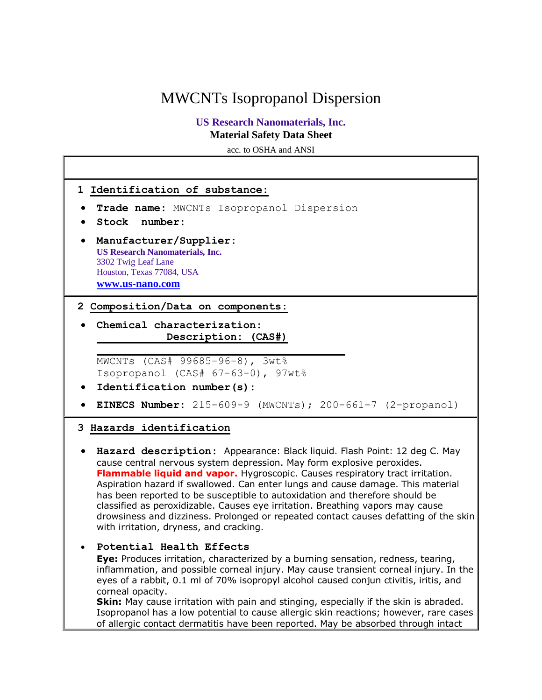# MWCNTs Isopropanol Dispersion

# **US Research Nanomaterials, Inc. Material Safety Data Sheet**

acc. to OSHA and ANSI



**Skin:** May cause irritation with pain and stinging, especially if the skin is abraded. Isopropanol has a low potential to cause allergic skin reactions; however, rare cases of allergic contact dermatitis have been reported. May be absorbed through intact

corneal opacity.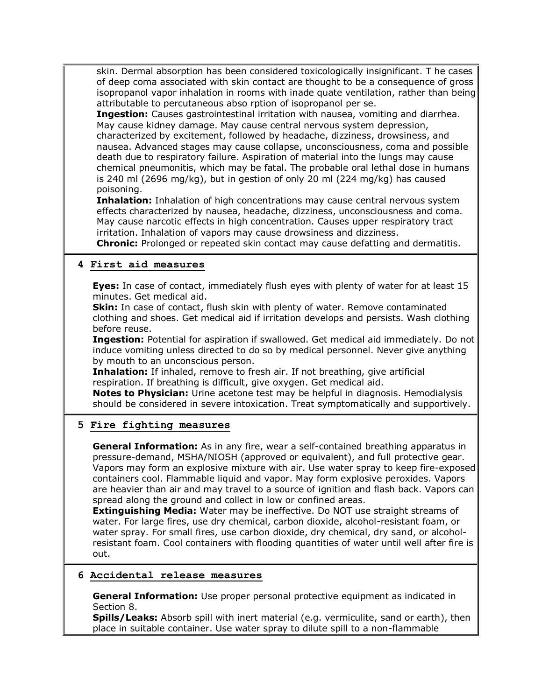skin. Dermal absorption has been considered toxicologically insignificant. T he cases of deep coma associated with skin contact are thought to be a consequence of gross isopropanol vapor inhalation in rooms with inade quate ventilation, rather than being attributable to percutaneous abso rption of isopropanol per se.

**Ingestion:** Causes gastrointestinal irritation with nausea, vomiting and diarrhea. May cause kidney damage. May cause central nervous system depression, characterized by excitement, followed by headache, dizziness, drowsiness, and nausea. Advanced stages may cause collapse, unconsciousness, coma and possible death due to respiratory failure. Aspiration of material into the lungs may cause chemical pneumonitis, which may be fatal. The probable oral lethal dose in humans is 240 ml (2696 mg/kg), but in gestion of only 20 ml (224 mg/kg) has caused poisoning.

**Inhalation:** Inhalation of high concentrations may cause central nervous system effects characterized by nausea, headache, dizziness, unconsciousness and coma. May cause narcotic effects in high concentration. Causes upper respiratory tract irritation. Inhalation of vapors may cause drowsiness and dizziness.

**Chronic:** Prolonged or repeated skin contact may cause defatting and dermatitis.

#### **4 First aid measures**

**Eyes:** In case of contact, immediately flush eyes with plenty of water for at least 15 minutes. Get medical aid.

**Skin:** In case of contact, flush skin with plenty of water. Remove contaminated clothing and shoes. Get medical aid if irritation develops and persists. Wash clothing before reuse.

**Ingestion:** Potential for aspiration if swallowed. Get medical aid immediately. Do not induce vomiting unless directed to do so by medical personnel. Never give anything by mouth to an unconscious person.

**Inhalation:** If inhaled, remove to fresh air. If not breathing, give artificial respiration. If breathing is difficult, give oxygen. Get medical aid.

**Notes to Physician:** Urine acetone test may be helpful in diagnosis. Hemodialysis should be considered in severe intoxication. Treat symptomatically and supportively.

## **5 Fire fighting measures**

**General Information:** As in any fire, wear a self-contained breathing apparatus in pressure-demand, MSHA/NIOSH (approved or equivalent), and full protective gear. Vapors may form an explosive mixture with air. Use water spray to keep fire-exposed containers cool. Flammable liquid and vapor. May form explosive peroxides. Vapors are heavier than air and may travel to a source of ignition and flash back. Vapors can spread along the ground and collect in low or confined areas.

**Extinguishing Media:** Water may be ineffective. Do NOT use straight streams of water. For large fires, use dry chemical, carbon dioxide, alcohol-resistant foam, or water spray. For small fires, use carbon dioxide, dry chemical, dry sand, or alcoholresistant foam. Cool containers with flooding quantities of water until well after fire is out.

#### **6 Accidental release measures**

**General Information:** Use proper personal protective equipment as indicated in Section 8.

**Spills/Leaks:** Absorb spill with inert material (e.g. vermiculite, sand or earth), then place in suitable container. Use water spray to dilute spill to a non-flammable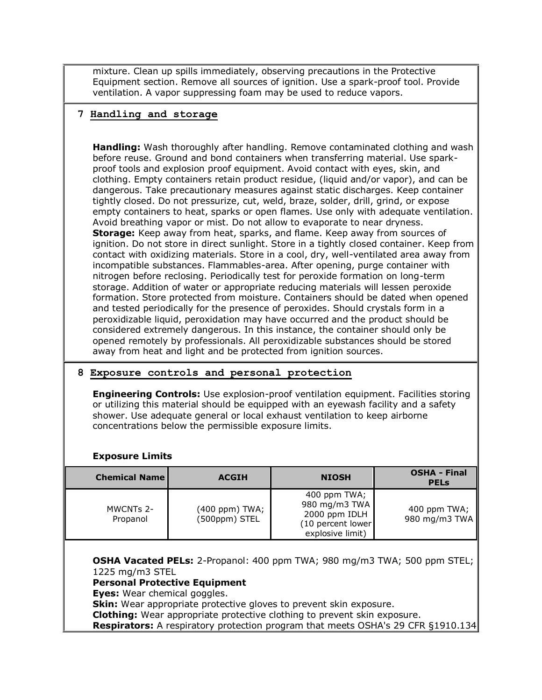mixture. Clean up spills immediately, observing precautions in the Protective Equipment section. Remove all sources of ignition. Use a spark-proof tool. Provide ventilation. A vapor suppressing foam may be used to reduce vapors.

## **7 Handling and storage**

**Handling:** Wash thoroughly after handling. Remove contaminated clothing and wash before reuse. Ground and bond containers when transferring material. Use sparkproof tools and explosion proof equipment. Avoid contact with eyes, skin, and clothing. Empty containers retain product residue, (liquid and/or vapor), and can be dangerous. Take precautionary measures against static discharges. Keep container tightly closed. Do not pressurize, cut, weld, braze, solder, drill, grind, or expose empty containers to heat, sparks or open flames. Use only with adequate ventilation. Avoid breathing vapor or mist. Do not allow to evaporate to near dryness. **Storage:** Keep away from heat, sparks, and flame. Keep away from sources of ignition. Do not store in direct sunlight. Store in a tightly closed container. Keep from contact with oxidizing materials. Store in a cool, dry, well-ventilated area away from incompatible substances. Flammables-area. After opening, purge container with nitrogen before reclosing. Periodically test for peroxide formation on long-term storage. Addition of water or appropriate reducing materials will lessen peroxide formation. Store protected from moisture. Containers should be dated when opened and tested periodically for the presence of peroxides. Should crystals form in a peroxidizable liquid, peroxidation may have occurred and the product should be considered extremely dangerous. In this instance, the container should only be opened remotely by professionals. All peroxidizable substances should be stored away from heat and light and be protected from ignition sources.

## **8 Exposure controls and personal protection**

**Engineering Controls:** Use explosion-proof ventilation equipment. Facilities storing or utilizing this material should be equipped with an eyewash facility and a safety shower. Use adequate general or local exhaust ventilation to keep airborne concentrations below the permissible exposure limits.

#### **Exposure Limits**

| <b>Chemical Name</b>  | <b>ACGIH</b>                    | <b>NIOSH</b>                                                                              | <b>OSHA - Final</b><br><b>PELS</b> |
|-----------------------|---------------------------------|-------------------------------------------------------------------------------------------|------------------------------------|
| MWCNTs 2-<br>Propanol | (400 ppm) TWA;<br>(500ppm) STEL | 400 ppm TWA;<br>980 mg/m3 TWA<br>2000 ppm IDLH<br>$(10$ percent lower<br>explosive limit) | 400 ppm TWA;<br>980 mg/m3 TWA      |

**OSHA Vacated PELs:** 2-Propanol: 400 ppm TWA; 980 mg/m3 TWA; 500 ppm STEL; 1225 mg/m3 STEL

#### **Personal Protective Equipment**

**Eyes:** Wear chemical goggles.

**Skin:** Wear appropriate protective gloves to prevent skin exposure.

**Clothing:** Wear appropriate protective clothing to prevent skin exposure.

**Respirators:** A respiratory protection program that meets OSHA's 29 CFR §1910.134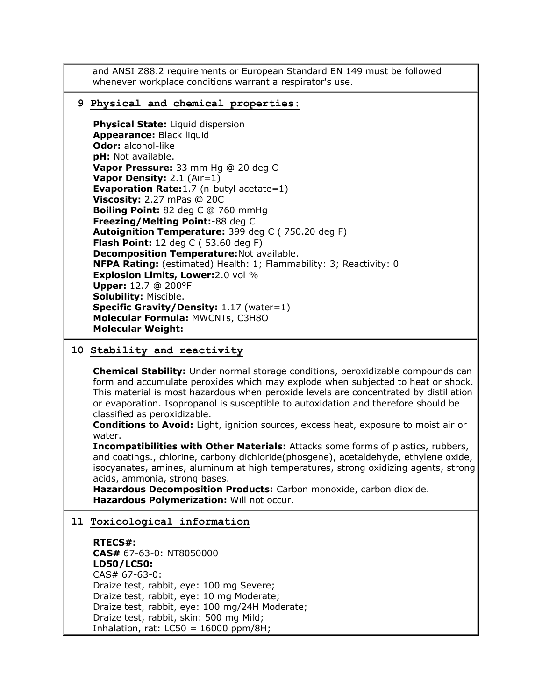and ANSI Z88.2 requirements or European Standard EN 149 must be followed whenever workplace conditions warrant a respirator's use.

#### **9 Physical and chemical properties:**

**Physical State:** Liquid dispersion **Appearance:** Black liquid **Odor:** alcohol-like **pH:** Not available. **Vapor Pressure:** 33 mm Hg @ 20 deg C **Vapor Density:** 2.1 (Air=1) **Evaporation Rate:**1.7 (n-butyl acetate=1) **Viscosity:** 2.27 mPas @ 20C **Boiling Point:** 82 deg C @ 760 mmHg **Freezing/Melting Point:**-88 deg C **Autoignition Temperature:** 399 deg C ( 750.20 deg F) **Flash Point:** 12 deg C ( 53.60 deg F) **Decomposition Temperature:**Not available. **NFPA Rating:** (estimated) Health: 1; Flammability: 3; Reactivity: 0 **Explosion Limits, Lower:**2.0 vol % **Upper:** 12.7 @ 200°F **Solubility:** Miscible. **Specific Gravity/Density: 1.17 (water=1) Molecular Formula:** MWCNTs, C3H8O **Molecular Weight:**

## **10 Stability and reactivity**

**Chemical Stability:** Under normal storage conditions, peroxidizable compounds can form and accumulate peroxides which may explode when subjected to heat or shock. This material is most hazardous when peroxide levels are concentrated by distillation or evaporation. Isopropanol is susceptible to autoxidation and therefore should be classified as peroxidizable.

**Conditions to Avoid:** Light, ignition sources, excess heat, exposure to moist air or water.

**Incompatibilities with Other Materials:** Attacks some forms of plastics, rubbers, and coatings., chlorine, carbony dichloride(phosgene), acetaldehyde, ethylene oxide, isocyanates, amines, aluminum at high temperatures, strong oxidizing agents, strong acids, ammonia, strong bases.

**Hazardous Decomposition Products:** Carbon monoxide, carbon dioxide. **Hazardous Polymerization:** Will not occur.

#### **11 Toxicological information**

**RTECS#: CAS#** 67-63-0: NT8050000 **LD50/LC50:** CAS# 67-63-0: Draize test, rabbit, eye: 100 mg Severe; Draize test, rabbit, eye: 10 mg Moderate; Draize test, rabbit, eye: 100 mg/24H Moderate; Draize test, rabbit, skin: 500 mg Mild; Inhalation, rat:  $LC50 = 16000$  ppm/8H;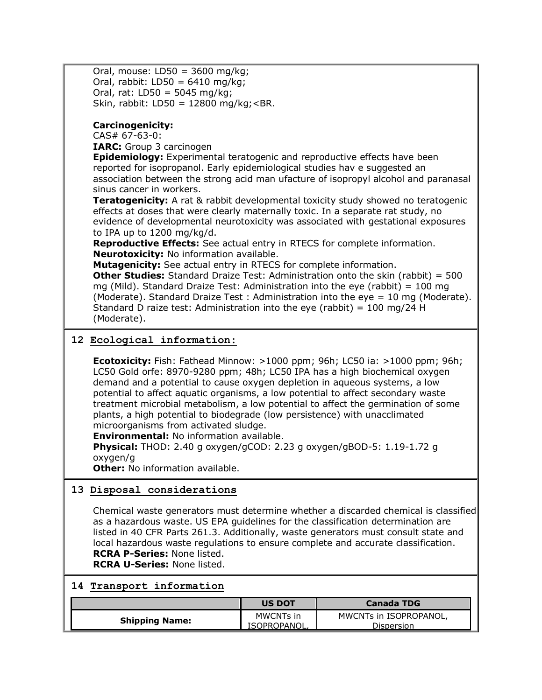| Oral, mouse: $LD50 = 3600$ mg/kg;<br>Oral, rabbit: LD50 = $6410$ mg/kg;                                                                                                                                                                                                                         |
|-------------------------------------------------------------------------------------------------------------------------------------------------------------------------------------------------------------------------------------------------------------------------------------------------|
| Oral, rat: $LD50 = 5045 mg/kg;$                                                                                                                                                                                                                                                                 |
| Skin, rabbit: LD50 = $12800$ mg/kg; <br.< td=""></br.<>                                                                                                                                                                                                                                         |
|                                                                                                                                                                                                                                                                                                 |
| <b>Carcinogenicity:</b>                                                                                                                                                                                                                                                                         |
| $CAS# 67-63-0$ :                                                                                                                                                                                                                                                                                |
| <b>IARC:</b> Group 3 carcinogen                                                                                                                                                                                                                                                                 |
| <b>Epidemiology:</b> Experimental teratogenic and reproductive effects have been<br>reported for isopropanol. Early epidemiological studies hav e suggested an<br>association between the strong acid man ufacture of isopropyl alcohol and paranasal<br>sinus cancer in workers.               |
|                                                                                                                                                                                                                                                                                                 |
| <b>Teratogenicity:</b> A rat & rabbit developmental toxicity study showed no teratogenic<br>effects at doses that were clearly maternally toxic. In a separate rat study, no<br>evidence of developmental neurotoxicity was associated with gestational exposures<br>to IPA up to 1200 mg/kg/d. |
| Reproductive Effects: See actual entry in RTECS for complete information.                                                                                                                                                                                                                       |
| <b>Neurotoxicity:</b> No information available.                                                                                                                                                                                                                                                 |
| Mutagenicity: See actual entry in RTECS for complete information.                                                                                                                                                                                                                               |
| <b>Other Studies:</b> Standard Draize Test: Administration onto the skin (rabbit) = 500                                                                                                                                                                                                         |
| mg (Mild). Standard Draize Test: Administration into the eye (rabbit) = 100 mg                                                                                                                                                                                                                  |
| (Moderate). Standard Draize Test: Administration into the eye = 10 mg (Moderate).                                                                                                                                                                                                               |
| Standard D raize test: Administration into the eye (rabbit) = $100 \text{ mg}/24 \text{ H}$<br>(Moderate).                                                                                                                                                                                      |

## **12 Ecological information:**

**Ecotoxicity:** Fish: Fathead Minnow: >1000 ppm; 96h; LC50 ia: >1000 ppm; 96h; LC50 Gold orfe: 8970-9280 ppm; 48h; LC50 IPA has a high biochemical oxygen demand and a potential to cause oxygen depletion in aqueous systems, a low potential to affect aquatic organisms, a low potential to affect secondary waste treatment microbial metabolism, a low potential to affect the germination of some plants, a high potential to biodegrade (low persistence) with unacclimated microorganisms from activated sludge.

**Environmental:** No information available.

**Physical:** THOD: 2.40 g oxygen/gCOD: 2.23 g oxygen/gBOD-5: 1.19-1.72 g oxygen/g

**Other:** No information available.

#### **13 Disposal considerations**

Chemical waste generators must determine whether a discarded chemical is classified as a hazardous waste. US EPA guidelines for the classification determination are listed in 40 CFR Parts 261.3. Additionally, waste generators must consult state and local hazardous waste regulations to ensure complete and accurate classification. **RCRA P-Series:** None listed. **RCRA U-Series:** None listed.

#### **14 Transport information**

|                       | <b>US DOT</b>             | <b>Canada TDG</b>                    |
|-----------------------|---------------------------|--------------------------------------|
| <b>Shipping Name:</b> | MWCNTs in<br>ISOPROPANOL. | MWCNTs in ISOPROPANOL,<br>Dispersion |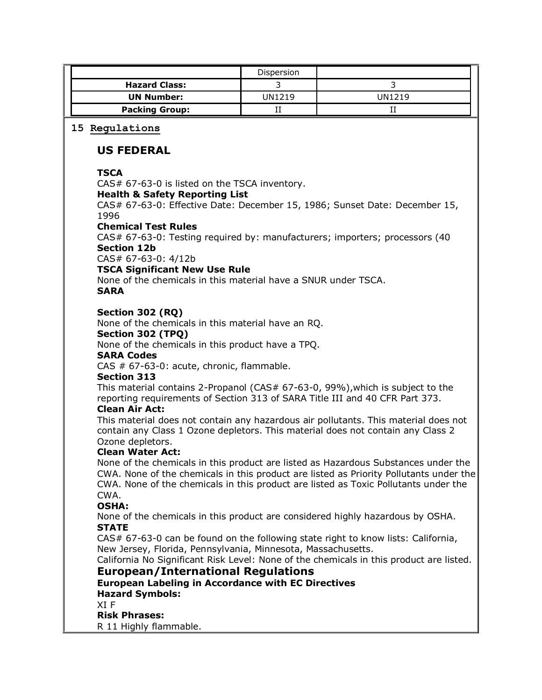|                                                                                                                                                                                                                                                                                                                                    |                                                                                                                                                                                                                                                                                                                                                                                       | Dispersion           |                |  |  |  |
|------------------------------------------------------------------------------------------------------------------------------------------------------------------------------------------------------------------------------------------------------------------------------------------------------------------------------------|---------------------------------------------------------------------------------------------------------------------------------------------------------------------------------------------------------------------------------------------------------------------------------------------------------------------------------------------------------------------------------------|----------------------|----------------|--|--|--|
|                                                                                                                                                                                                                                                                                                                                    | <b>Hazard Class:</b>                                                                                                                                                                                                                                                                                                                                                                  | 3                    | $\overline{3}$ |  |  |  |
| <b>UN Number:</b>                                                                                                                                                                                                                                                                                                                  |                                                                                                                                                                                                                                                                                                                                                                                       | <b>UN1219</b>        | <b>UN1219</b>  |  |  |  |
|                                                                                                                                                                                                                                                                                                                                    | <b>Packing Group:</b>                                                                                                                                                                                                                                                                                                                                                                 | $\scriptstyle\rm II$ | П              |  |  |  |
|                                                                                                                                                                                                                                                                                                                                    | 15 Regulations                                                                                                                                                                                                                                                                                                                                                                        |                      |                |  |  |  |
|                                                                                                                                                                                                                                                                                                                                    | <b>US FEDERAL</b>                                                                                                                                                                                                                                                                                                                                                                     |                      |                |  |  |  |
| <b>TSCA</b><br>CAS# 67-63-0 is listed on the TSCA inventory.<br><b>Health &amp; Safety Reporting List</b><br>CAS# 67-63-0: Effective Date: December 15, 1986; Sunset Date: December 15,<br>1996<br><b>Chemical Test Rules</b><br>CAS# 67-63-0: Testing required by: manufacturers; importers; processors (40<br><b>Section 12b</b> |                                                                                                                                                                                                                                                                                                                                                                                       |                      |                |  |  |  |
|                                                                                                                                                                                                                                                                                                                                    | CAS# 67-63-0: 4/12b<br><b>TSCA Significant New Use Rule</b><br>None of the chemicals in this material have a SNUR under TSCA.<br><b>SARA</b>                                                                                                                                                                                                                                          |                      |                |  |  |  |
| Section 302 (RQ)<br>None of the chemicals in this material have an RQ.<br>Section 302 (TPQ)<br>None of the chemicals in this product have a TPQ.<br><b>SARA Codes</b><br>CAS # 67-63-0: acute, chronic, flammable.<br><b>Section 313</b>                                                                                           |                                                                                                                                                                                                                                                                                                                                                                                       |                      |                |  |  |  |
|                                                                                                                                                                                                                                                                                                                                    | This material contains 2-Propanol (CAS# 67-63-0, 99%), which is subject to the<br>reporting requirements of Section 313 of SARA Title III and 40 CFR Part 373.<br><b>Clean Air Act:</b><br>This material does not contain any hazardous air pollutants. This material does not<br>contain any Class 1 Ozone depletors. This material does not contain any Class 2<br>Ozone depletors. |                      |                |  |  |  |
|                                                                                                                                                                                                                                                                                                                                    | <b>Clean Water Act:</b><br>None of the chemicals in this product are listed as Hazardous Substances under the<br>CWA. None of the chemicals in this product are listed as Priority Pollutants under the<br>CWA. None of the chemicals in this product are listed as Toxic Pollutants under the<br>CWA.<br><b>OSHA:</b>                                                                |                      |                |  |  |  |
|                                                                                                                                                                                                                                                                                                                                    | None of the chemicals in this product are considered highly hazardous by OSHA.<br><b>STATE</b><br>CAS# 67-63-0 can be found on the following state right to know lists: California,<br>New Jersey, Florida, Pennsylvania, Minnesota, Massachusetts.<br>California No Significant Risk Level: None of the chemicals in this product are listed.                                        |                      |                |  |  |  |
|                                                                                                                                                                                                                                                                                                                                    | <b>European/International Regulations</b><br><b>European Labeling in Accordance with EC Directives</b><br><b>Hazard Symbols:</b><br>XI F<br><b>Risk Phrases:</b><br>R 11 Highly flammable.                                                                                                                                                                                            |                      |                |  |  |  |